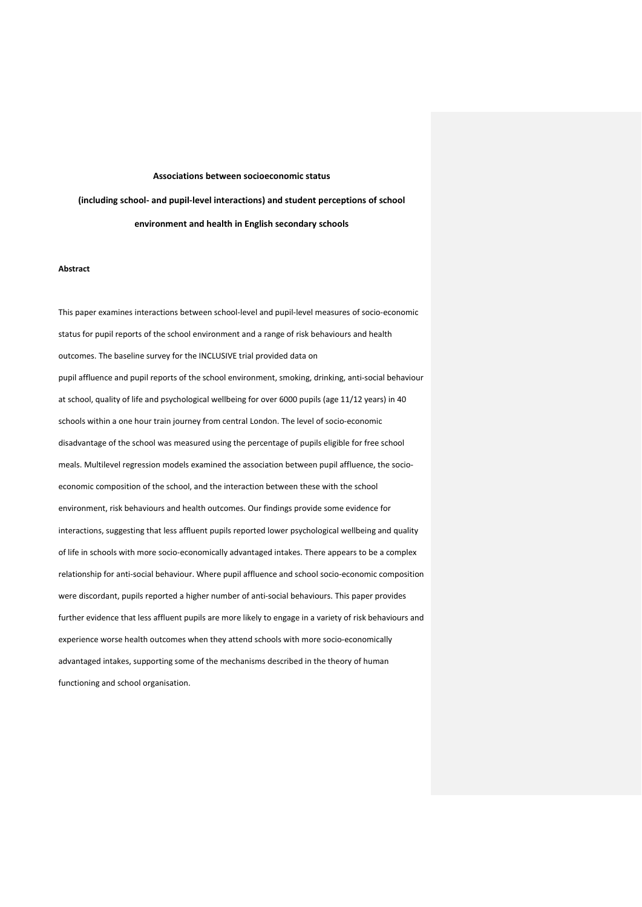## **Associations between socioeconomic status**

**(including school- and pupil-level interactions) and student perceptions of school environment and health in English secondary schools**

## **Abstract**

This paper examines interactions between school-level and pupil-level measures of socio-economic status for pupil reports of the school environment and a range of risk behaviours and health outcomes. The baseline survey for the INCLUSIVE trial provided data on pupil affluence and pupil reports of the school environment, smoking, drinking, anti-social behaviour at school, quality of life and psychological wellbeing for over 6000 pupils (age 11/12 years) in 40 schools within a one hour train journey from central London. The level of socio-economic disadvantage of the school was measured using the percentage of pupils eligible for free school meals. Multilevel regression models examined the association between pupil affluence, the socioeconomic composition of the school, and the interaction between these with the school environment, risk behaviours and health outcomes. Our findings provide some evidence for interactions, suggesting that less affluent pupils reported lower psychological wellbeing and quality of life in schools with more socio-economically advantaged intakes. There appears to be a complex relationship for anti-social behaviour. Where pupil affluence and school socio-economic composition were discordant, pupils reported a higher number of anti-social behaviours. This paper provides further evidence that less affluent pupils are more likely to engage in a variety of risk behaviours and experience worse health outcomes when they attend schools with more socio-economically advantaged intakes, supporting some of the mechanisms described in the theory of human functioning and school organisation.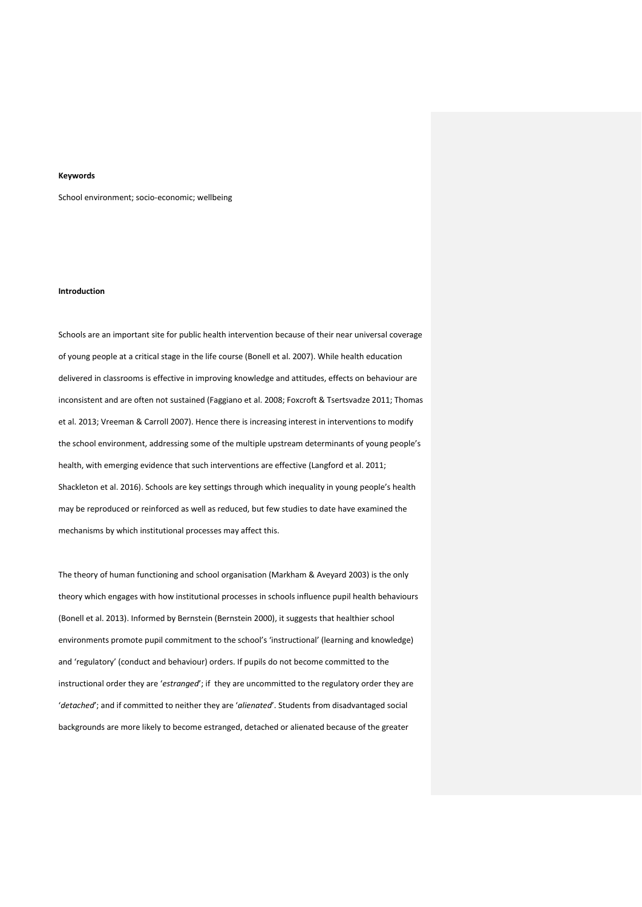# **Keywords**

School environment; socio-economic; wellbeing

## **Introduction**

Schools are an important site for public health intervention because of their near universal coverage of young people at a critical stage in the life course (Bonell et al. 2007). While health education delivered in classrooms is effective in improving knowledge and attitudes, effects on behaviour are inconsistent and are often not sustained (Faggiano et al. 2008; Foxcroft & Tsertsvadze 2011; Thomas et al. 2013; Vreeman & Carroll 2007). Hence there is increasing interest in interventions to modify the school environment, addressing some of the multiple upstream determinants of young people's health, with emerging evidence that such interventions are effective (Langford et al. 2011; Shackleton et al. 2016). Schools are key settings through which inequality in young people's health may be reproduced or reinforced as well as reduced, but few studies to date have examined the mechanisms by which institutional processes may affect this.

The theory of human functioning and school organisation (Markham & Aveyard 2003) is the only theory which engages with how institutional processes in schools influence pupil health behaviours (Bonell et al. 2013). Informed by Bernstein (Bernstein 2000), it suggests that healthier school environments promote pupil commitment to the school's 'instructional' (learning and knowledge) and 'regulatory' (conduct and behaviour) orders. If pupils do not become committed to the instructional order they are '*estranged*'; if they are uncommitted to the regulatory order they are '*detached*'; and if committed to neither they are '*alienated*'. Students from disadvantaged social backgrounds are more likely to become estranged, detached or alienated because of the greater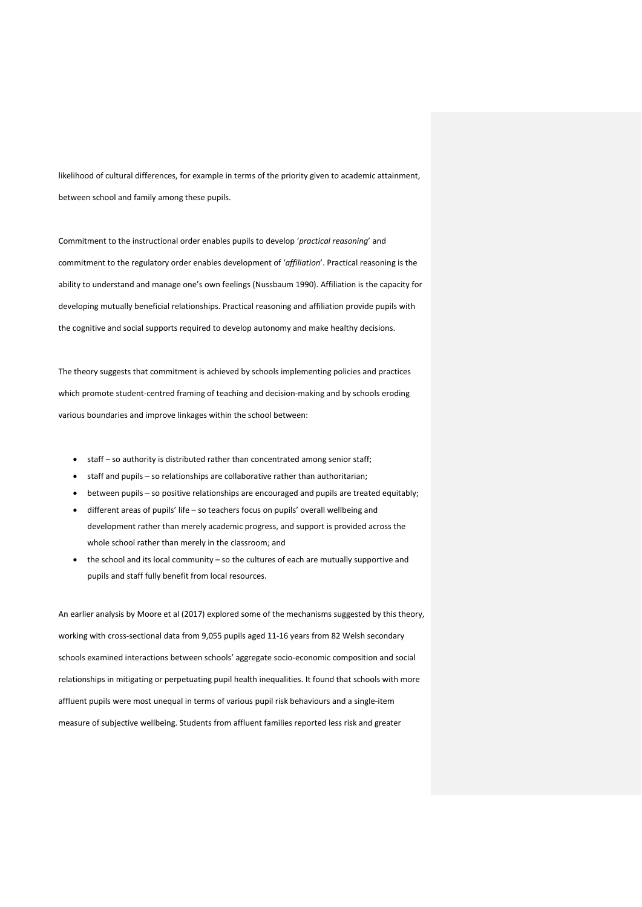likelihood of cultural differences, for example in terms of the priority given to academic attainment, between school and family among these pupils.

Commitment to the instructional order enables pupils to develop '*practical reasoning*' and commitment to the regulatory order enables development of '*affiliation*'. Practical reasoning is the ability to understand and manage one's own feelings (Nussbaum 1990). Affiliation is the capacity for developing mutually beneficial relationships. Practical reasoning and affiliation provide pupils with the cognitive and social supports required to develop autonomy and make healthy decisions.

The theory suggests that commitment is achieved by schools implementing policies and practices which promote student-centred framing of teaching and decision-making and by schools eroding various boundaries and improve linkages within the school between:

- staff so authority is distributed rather than concentrated among senior staff;
- staff and pupils so relationships are collaborative rather than authoritarian;
- between pupils so positive relationships are encouraged and pupils are treated equitably;
- different areas of pupils' life so teachers focus on pupils' overall wellbeing and development rather than merely academic progress, and support is provided across the whole school rather than merely in the classroom; and
- the school and its local community so the cultures of each are mutually supportive and pupils and staff fully benefit from local resources.

An earlier analysis by Moore et al (2017) explored some of the mechanisms suggested by this theory, working with cross-sectional data from 9,055 pupils aged 11-16 years from 82 Welsh secondary schools examined interactions between schools' aggregate socio-economic composition and social relationships in mitigating or perpetuating pupil health inequalities. It found that schools with more affluent pupils were most unequal in terms of various pupil risk behaviours and a single-item measure of subjective wellbeing. Students from affluent families reported less risk and greater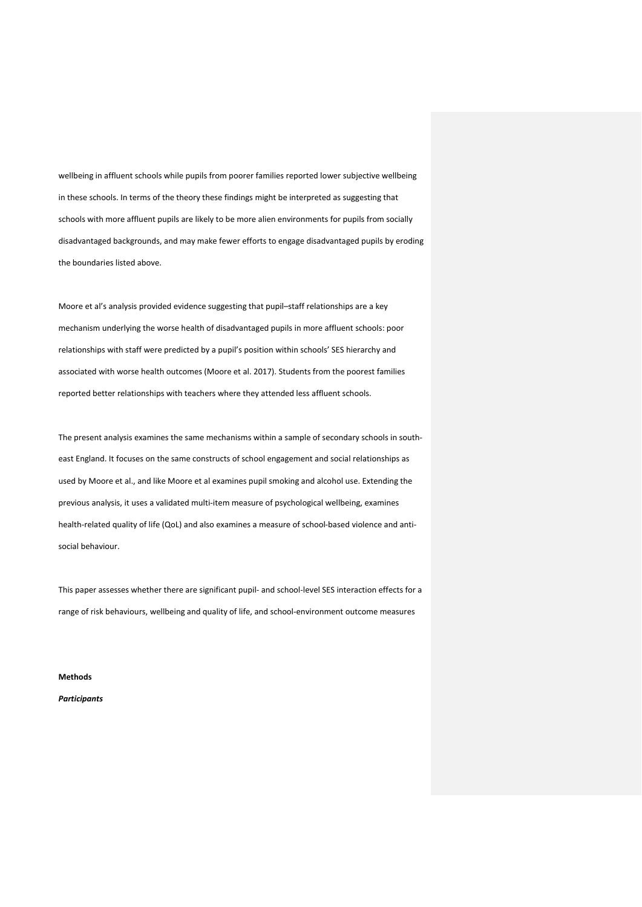wellbeing in affluent schools while pupils from poorer families reported lower subjective wellbeing in these schools. In terms of the theory these findings might be interpreted as suggesting that schools with more affluent pupils are likely to be more alien environments for pupils from socially disadvantaged backgrounds, and may make fewer efforts to engage disadvantaged pupils by eroding the boundaries listed above.

Moore et al's analysis provided evidence suggesting that pupil–staff relationships are a key mechanism underlying the worse health of disadvantaged pupils in more affluent schools: poor relationships with staff were predicted by a pupil's position within schools' SES hierarchy and associated with worse health outcomes (Moore et al. 2017). Students from the poorest families reported better relationships with teachers where they attended less affluent schools.

The present analysis examines the same mechanisms within a sample of secondary schools in southeast England. It focuses on the same constructs of school engagement and social relationships as used by Moore et al., and like Moore et al examines pupil smoking and alcohol use. Extending the previous analysis, it uses a validated multi-item measure of psychological wellbeing, examines health-related quality of life (QoL) and also examines a measure of school-based violence and antisocial behaviour.

This paper assesses whether there are significant pupil- and school-level SES interaction effects for a range of risk behaviours, wellbeing and quality of life, and school-environment outcome measures

**Methods** 

*Participants*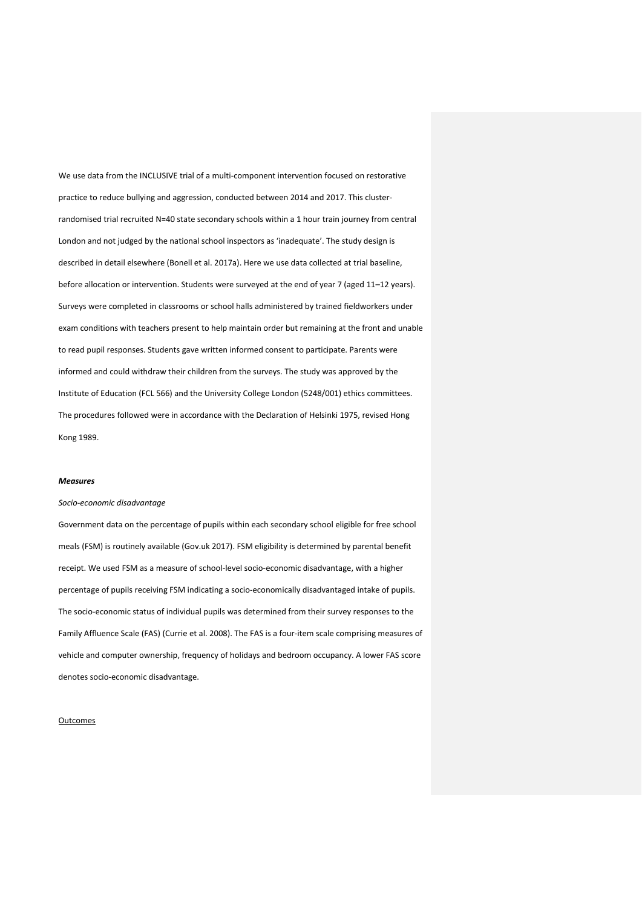We use data from the INCLUSIVE trial of a multi-component intervention focused on restorative practice to reduce bullying and aggression, conducted between 2014 and 2017. This clusterrandomised trial recruited N=40 state secondary schools within a 1 hour train journey from central London and not judged by the national school inspectors as 'inadequate'. The study design is described in detail elsewhere (Bonell et al. 2017a). Here we use data collected at trial baseline, before allocation or intervention. Students were surveyed at the end of year 7 (aged 11–12 years). Surveys were completed in classrooms or school halls administered by trained fieldworkers under exam conditions with teachers present to help maintain order but remaining at the front and unable to read pupil responses. Students gave written informed consent to participate. Parents were informed and could withdraw their children from the surveys. The study was approved by the Institute of Education (FCL 566) and the University College London (5248/001) ethics committees. The procedures followed were in accordance with the Declaration of Helsinki 1975, revised Hong Kong 1989.

#### *Measures*

#### *Socio-economic disadvantage*

Government data on the percentage of pupils within each secondary school eligible for free school meals (FSM) is routinely available (Gov.uk 2017). FSM eligibility is determined by parental benefit receipt. We used FSM as a measure of school-level socio-economic disadvantage, with a higher percentage of pupils receiving FSM indicating a socio-economically disadvantaged intake of pupils. The socio-economic status of individual pupils was determined from their survey responses to the Family Affluence Scale (FAS) (Currie et al. 2008). The FAS is a four-item scale comprising measures of vehicle and computer ownership, frequency of holidays and bedroom occupancy. A lower FAS score denotes socio-economic disadvantage.

#### **Outcomes**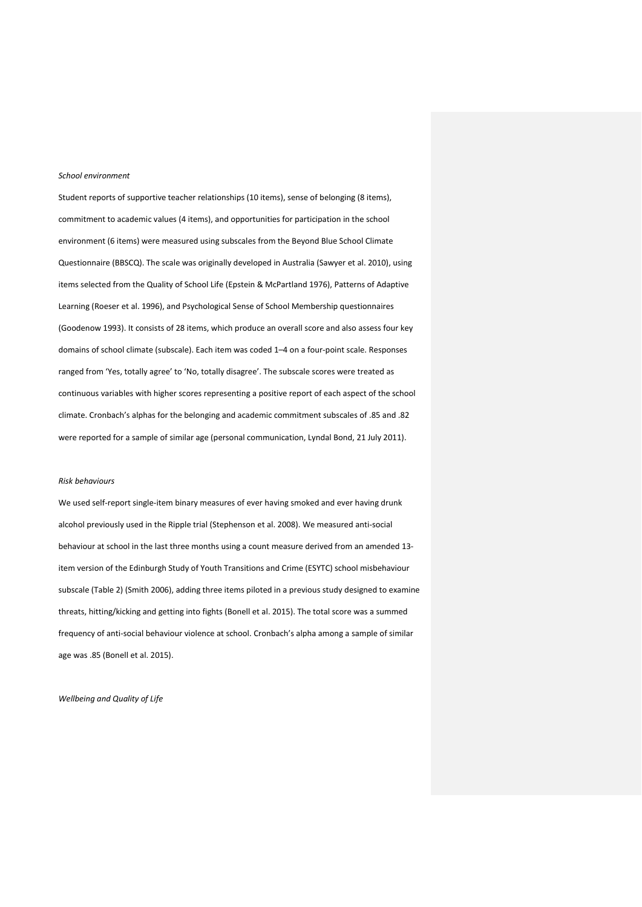#### *School environment*

Student reports of supportive teacher relationships (10 items), sense of belonging (8 items), commitment to academic values (4 items), and opportunities for participation in the school environment (6 items) were measured using subscales from the Beyond Blue School Climate Questionnaire (BBSCQ). The scale was originally developed in Australia (Sawyer et al. 2010), using items selected from the Quality of School Life (Epstein & McPartland 1976), Patterns of Adaptive Learning (Roeser et al. 1996), and Psychological Sense of School Membership questionnaires (Goodenow 1993). It consists of 28 items, which produce an overall score and also assess four key domains of school climate (subscale). Each item was coded 1–4 on a four-point scale. Responses ranged from 'Yes, totally agree' to 'No, totally disagree'. The subscale scores were treated as continuous variables with higher scores representing a positive report of each aspect of the school climate. Cronbach's alphas for the belonging and academic commitment subscales of .85 and .82 were reported for a sample of similar age (personal communication, Lyndal Bond, 21 July 2011).

#### *Risk behaviours*

We used self-report single-item binary measures of ever having smoked and ever having drunk alcohol previously used in the Ripple trial (Stephenson et al. 2008). We measured anti-social behaviour at school in the last three months using a count measure derived from an amended 13 item version of the Edinburgh Study of Youth Transitions and Crime (ESYTC) school misbehaviour subscale (Table 2) (Smith 2006), adding three items piloted in a previous study designed to examine threats, hitting/kicking and getting into fights (Bonell et al. 2015). The total score was a summed frequency of anti-social behaviour violence at school. Cronbach's alpha among a sample of similar age was .85 (Bonell et al. 2015).

*Wellbeing and Quality of Life*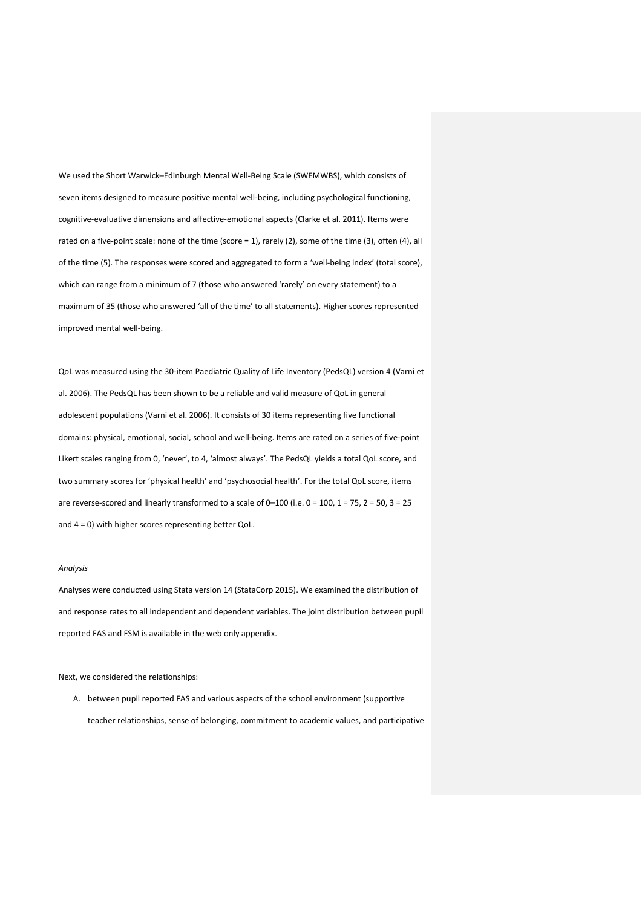We used the Short Warwick–Edinburgh Mental Well-Being Scale (SWEMWBS), which consists of seven items designed to measure positive mental well-being, including psychological functioning, cognitive-evaluative dimensions and affective-emotional aspects (Clarke et al. 2011). Items were rated on a five-point scale: none of the time (score = 1), rarely (2), some of the time (3), often (4), all of the time (5). The responses were scored and aggregated to form a 'well-being index' (total score), which can range from a minimum of 7 (those who answered 'rarely' on every statement) to a maximum of 35 (those who answered 'all of the time' to all statements). Higher scores represented improved mental well-being.

QoL was measured using the 30-item Paediatric Quality of Life Inventory (PedsQL) version 4 (Varni et al. 2006). The PedsQL has been shown to be a reliable and valid measure of QoL in general adolescent populations (Varni et al. 2006). It consists of 30 items representing five functional domains: physical, emotional, social, school and well-being. Items are rated on a series of five-point Likert scales ranging from 0, 'never', to 4, 'almost always'. The PedsQL yields a total QoL score, and two summary scores for 'physical health' and 'psychosocial health'. For the total QoL score, items are reverse-scored and linearly transformed to a scale of 0–100 (i.e. 0 = 100, 1 = 75, 2 = 50, 3 = 25 and 4 = 0) with higher scores representing better QoL.

### *Analysis*

Analyses were conducted using Stata version 14 (StataCorp 2015). We examined the distribution of and response rates to all independent and dependent variables. The joint distribution between pupil reported FAS and FSM is available in the web only appendix.

Next, we considered the relationships:

A. between pupil reported FAS and various aspects of the school environment (supportive teacher relationships, sense of belonging, commitment to academic values, and participative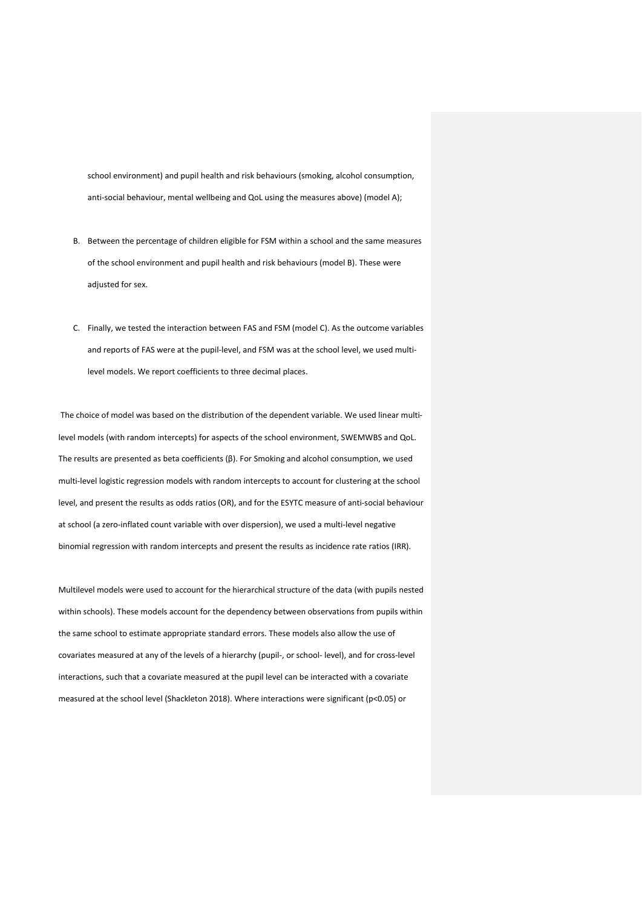school environment) and pupil health and risk behaviours (smoking, alcohol consumption, anti-social behaviour, mental wellbeing and QoL using the measures above) (model A);

- B. Between the percentage of children eligible for FSM within a school and the same measures of the school environment and pupil health and risk behaviours (model B). These were adjusted for sex.
- C. Finally, we tested the interaction between FAS and FSM (model C). As the outcome variables and reports of FAS were at the pupil-level, and FSM was at the school level, we used multilevel models. We report coefficients to three decimal places.

The choice of model was based on the distribution of the dependent variable. We used linear multilevel models (with random intercepts) for aspects of the school environment, SWEMWBS and QoL. The results are presented as beta coefficients (β). For Smoking and alcohol consumption, we used multi-level logistic regression models with random intercepts to account for clustering at the school level, and present the results as odds ratios (OR), and for the ESYTC measure of anti-social behaviour at school (a zero-inflated count variable with over dispersion), we used a multi-level negative binomial regression with random intercepts and present the results as incidence rate ratios (IRR).

Multilevel models were used to account for the hierarchical structure of the data (with pupils nested within schools). These models account for the dependency between observations from pupils within the same school to estimate appropriate standard errors. These models also allow the use of covariates measured at any of the levels of a hierarchy (pupil-, or school- level), and for cross-level interactions, such that a covariate measured at the pupil level can be interacted with a covariate measured at the school level (Shackleton 2018). Where interactions were significant (p<0.05) or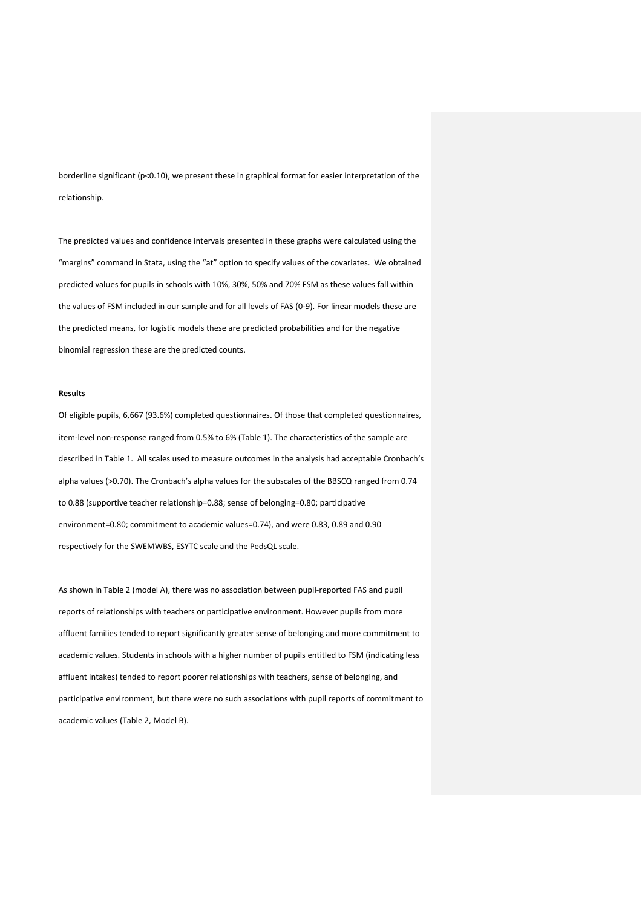borderline significant (p<0.10), we present these in graphical format for easier interpretation of the relationship.

The predicted values and confidence intervals presented in these graphs were calculated using the "margins" command in Stata, using the "at" option to specify values of the covariates. We obtained predicted values for pupils in schools with 10%, 30%, 50% and 70% FSM as these values fall within the values of FSM included in our sample and for all levels of FAS (0-9). For linear models these are the predicted means, for logistic models these are predicted probabilities and for the negative binomial regression these are the predicted counts.

# **Results**

Of eligible pupils, 6,667 (93.6%) completed questionnaires. Of those that completed questionnaires, item-level non-response ranged from 0.5% to 6% (Table 1). The characteristics of the sample are described in Table 1. All scales used to measure outcomes in the analysis had acceptable Cronbach's alpha values (>0.70). The Cronbach's alpha values for the subscales of the BBSCQ ranged from 0.74 to 0.88 (supportive teacher relationship=0.88; sense of belonging=0.80; participative environment=0.80; commitment to academic values=0.74), and were 0.83, 0.89 and 0.90 respectively for the SWEMWBS, ESYTC scale and the PedsQL scale.

As shown in Table 2 (model A), there was no association between pupil-reported FAS and pupil reports of relationships with teachers or participative environment. However pupils from more affluent families tended to report significantly greater sense of belonging and more commitment to academic values. Students in schools with a higher number of pupils entitled to FSM (indicating less affluent intakes) tended to report poorer relationships with teachers, sense of belonging, and participative environment, but there were no such associations with pupil reports of commitment to academic values (Table 2, Model B).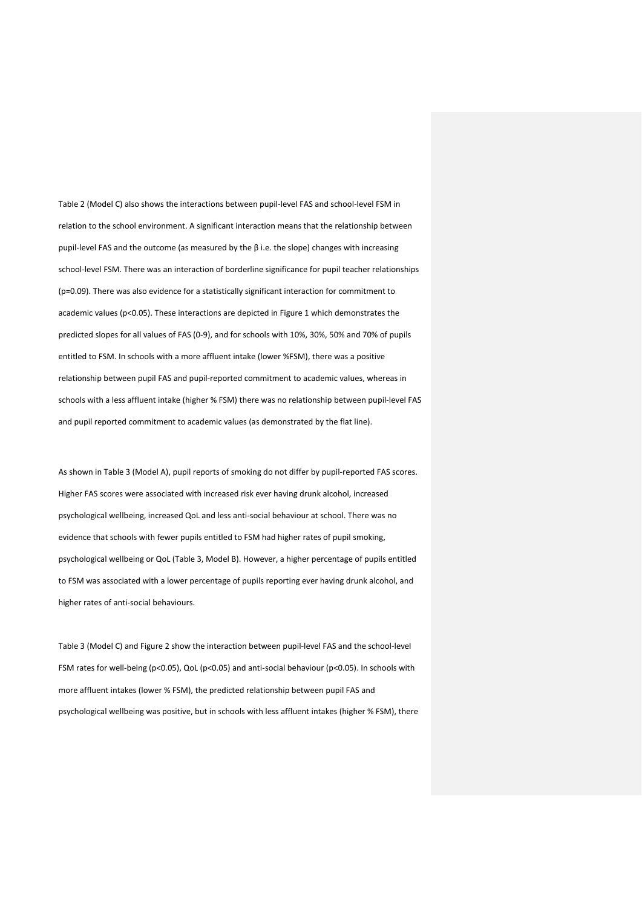Table 2 (Model C) also shows the interactions between pupil-level FAS and school-level FSM in relation to the school environment. A significant interaction means that the relationship between pupil-level FAS and the outcome (as measured by the β i.e. the slope) changes with increasing school-level FSM. There was an interaction of borderline significance for pupil teacher relationships (p=0.09). There was also evidence for a statistically significant interaction for commitment to academic values (p<0.05). These interactions are depicted in Figure 1 which demonstrates the predicted slopes for all values of FAS (0-9), and for schools with 10%, 30%, 50% and 70% of pupils entitled to FSM. In schools with a more affluent intake (lower %FSM), there was a positive relationship between pupil FAS and pupil-reported commitment to academic values, whereas in schools with a less affluent intake (higher % FSM) there was no relationship between pupil-level FAS and pupil reported commitment to academic values (as demonstrated by the flat line).

As shown in Table 3 (Model A), pupil reports of smoking do not differ by pupil-reported FAS scores. Higher FAS scores were associated with increased risk ever having drunk alcohol, increased psychological wellbeing, increased QoL and less anti-social behaviour at school. There was no evidence that schools with fewer pupils entitled to FSM had higher rates of pupil smoking, psychological wellbeing or QoL (Table 3, Model B). However, a higher percentage of pupils entitled to FSM was associated with a lower percentage of pupils reporting ever having drunk alcohol, and higher rates of anti-social behaviours.

Table 3 (Model C) and Figure 2 show the interaction between pupil-level FAS and the school-level FSM rates for well-being (p<0.05), QoL (p<0.05) and anti-social behaviour (p<0.05). In schools with more affluent intakes (lower % FSM), the predicted relationship between pupil FAS and psychological wellbeing was positive, but in schools with less affluent intakes (higher % FSM), there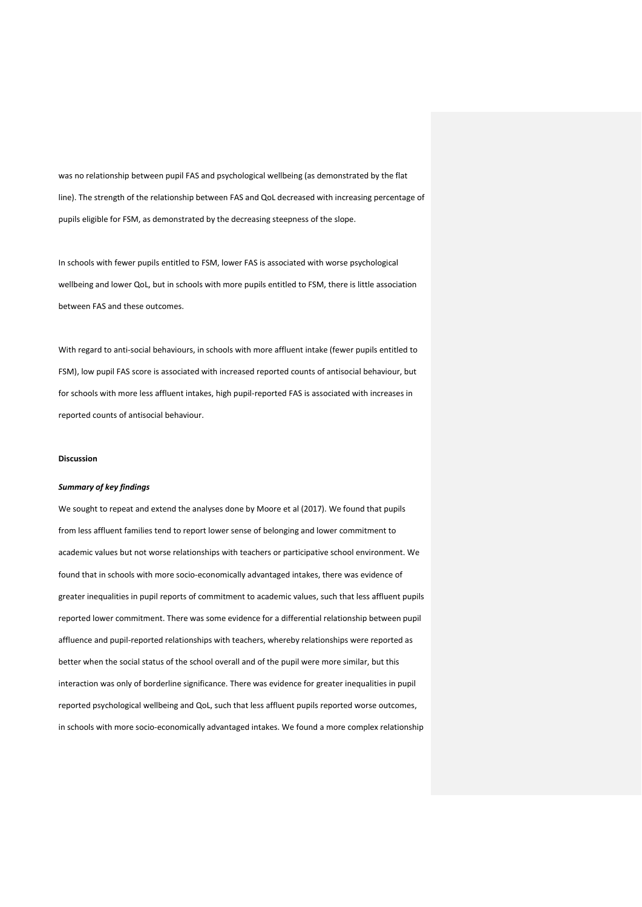was no relationship between pupil FAS and psychological wellbeing (as demonstrated by the flat line). The strength of the relationship between FAS and QoL decreased with increasing percentage of pupils eligible for FSM, as demonstrated by the decreasing steepness of the slope.

In schools with fewer pupils entitled to FSM, lower FAS is associated with worse psychological wellbeing and lower QoL, but in schools with more pupils entitled to FSM, there is little association between FAS and these outcomes.

With regard to anti-social behaviours, in schools with more affluent intake (fewer pupils entitled to FSM), low pupil FAS score is associated with increased reported counts of antisocial behaviour, but for schools with more less affluent intakes, high pupil-reported FAS is associated with increases in reported counts of antisocial behaviour.

## **Discussion**

## *Summary of key findings*

We sought to repeat and extend the analyses done by Moore et al (2017). We found that pupils from less affluent families tend to report lower sense of belonging and lower commitment to academic values but not worse relationships with teachers or participative school environment. We found that in schools with more socio-economically advantaged intakes, there was evidence of greater inequalities in pupil reports of commitment to academic values, such that less affluent pupils reported lower commitment. There was some evidence for a differential relationship between pupil affluence and pupil-reported relationships with teachers, whereby relationships were reported as better when the social status of the school overall and of the pupil were more similar, but this interaction was only of borderline significance. There was evidence for greater inequalities in pupil reported psychological wellbeing and QoL, such that less affluent pupils reported worse outcomes, in schools with more socio-economically advantaged intakes. We found a more complex relationship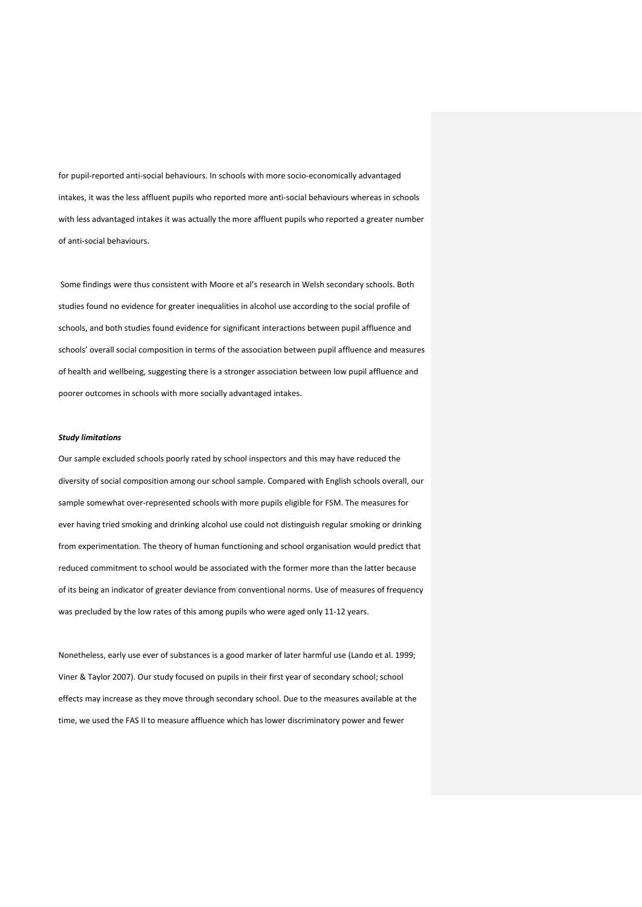for pupil-reported anti-social behaviours. In schools with more socio-economically advantaged intakes, it was the less affluent pupils who reported more anti-social behaviours whereas in schools with less advantaged intakes it was actually the more affluent pupils who reported a greater number of anti-social behaviours.

Some findings were thus consistent with Moore et al's research in Welsh secondary schools. Both studies found no evidence for greater inequalities in alcohol use according to the social profile of schools, and both studies found evidence for significant interactions between pupil affluence and schools' overall social composition in terms of the association between pupil affluence and measures of health and wellbeing, suggesting there is a stronger association between low pupil affluence and poorer outcomes in schools with more socially advantaged intakes.

#### *Study limitations*

Our sample excluded schools poorly rated by school inspectors and this may have reduced the diversity of social composition among our school sample. Compared with English schools overall, our sample somewhat over-represented schools with more pupils eligible for FSM. The measures for ever having tried smoking and drinking alcohol use could not distinguish regular smoking or drinking from experimentation. The theory of human functioning and school organisation would predict that reduced commitment to school would be associated with the former more than the latter because of its being an indicator of greater deviance from conventional norms. Use of measures of frequency was precluded by the low rates of this among pupils who were aged only 11-12 years.

Nonetheless, early use ever of substances is a good marker of later harmful use (Lando et al. 1999; Viner & Taylor 2007). Our study focused on pupils in their first year of secondary school; school effects may increase as they move through secondary school. Due to the measures available at the time, we used the FAS II to measure affluence which has lower discriminatory power and fewer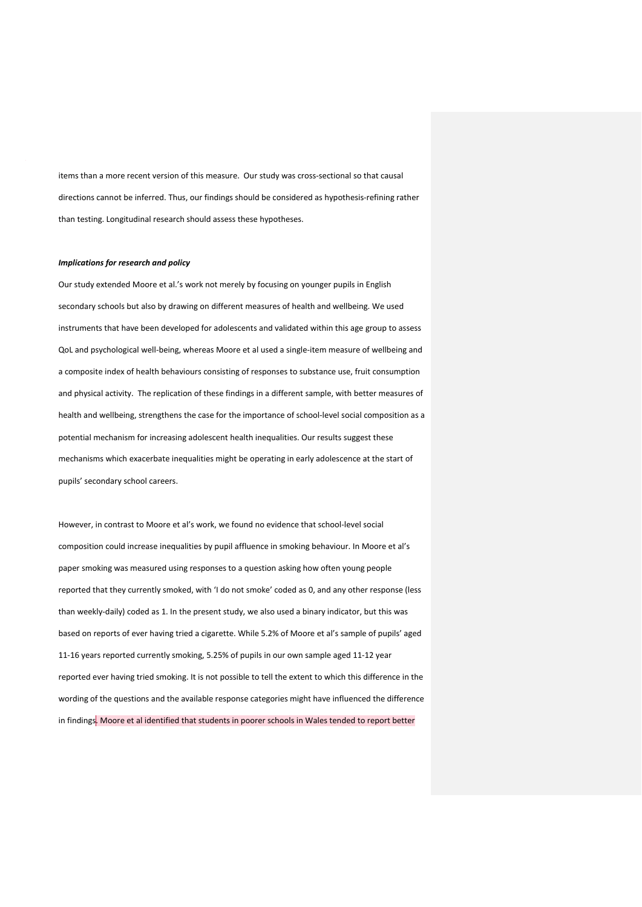items than a more recent version of this measure. Our study was cross-sectional so that causal directions cannot be inferred. Thus, our findings should be considered as hypothesis-refining rather than testing. Longitudinal research should assess these hypotheses.

## *Implications for research and policy*

Our study extended Moore et al.'s work not merely by focusing on younger pupils in English secondary schools but also by drawing on different measures of health and wellbeing. We used instruments that have been developed for adolescents and validated within this age group to assess QoL and psychological well-being, whereas Moore et al used a single-item measure of wellbeing and a composite index of health behaviours consisting of responses to substance use, fruit consumption and physical activity. The replication of these findings in a different sample, with better measures of health and wellbeing, strengthens the case for the importance of school-level social composition as a potential mechanism for increasing adolescent health inequalities. Our results suggest these mechanisms which exacerbate inequalities might be operating in early adolescence at the start of pupils' secondary school careers.

However, in contrast to Moore et al's work, we found no evidence that school-level social composition could increase inequalities by pupil affluence in smoking behaviour. In Moore et al's paper smoking was measured using responses to a question asking how often young people reported that they currently smoked, with 'I do not smoke' coded as 0, and any other response (less than weekly-daily) coded as 1. In the present study, we also used a binary indicator, but this was based on reports of ever having tried a cigarette. While 5.2% of Moore et al's sample of pupils' aged 11-16 years reported currently smoking, 5.25% of pupils in our own sample aged 11-12 year reported ever having tried smoking. It is not possible to tell the extent to which this difference in the wording of the questions and the available response categories might have influenced the difference in findings. Moore et al identified that students in poorer schools in Wales tended to report better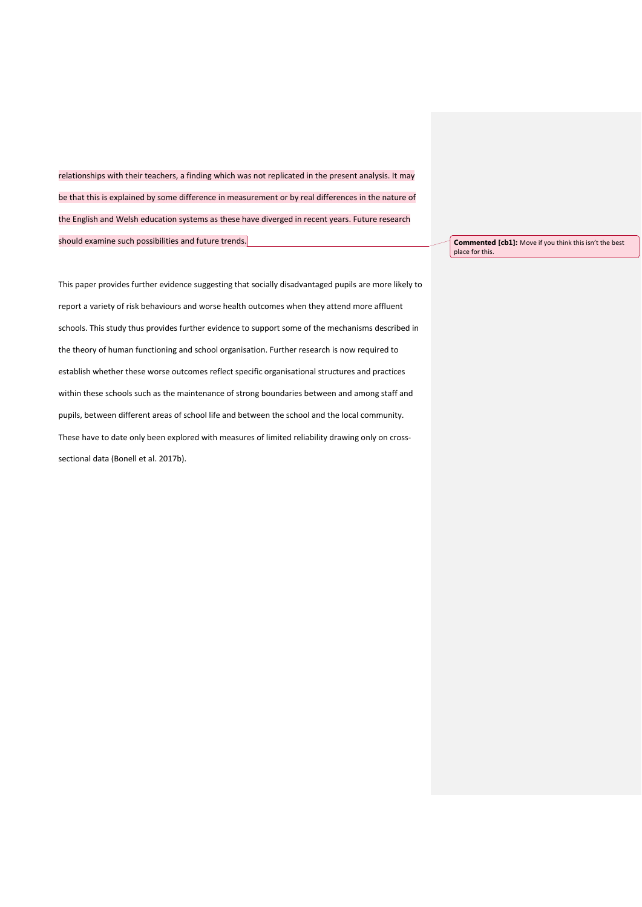relationships with their teachers, a finding which was not replicated in the present analysis. It may be that this is explained by some difference in measurement or by real differences in the nature of the English and Welsh education systems as these have diverged in recent years. Future research should examine such possibilities and future trends.

**Commented [cb1]:** Move if you think this isn't the best place for this.

This paper provides further evidence suggesting that socially disadvantaged pupils are more likely to report a variety of risk behaviours and worse health outcomes when they attend more affluent schools. This study thus provides further evidence to support some of the mechanisms described in the theory of human functioning and school organisation. Further research is now required to establish whether these worse outcomes reflect specific organisational structures and practices within these schools such as the maintenance of strong boundaries between and among staff and pupils, between different areas of school life and between the school and the local community. These have to date only been explored with measures of limited reliability drawing only on crosssectional data (Bonell et al. 2017b).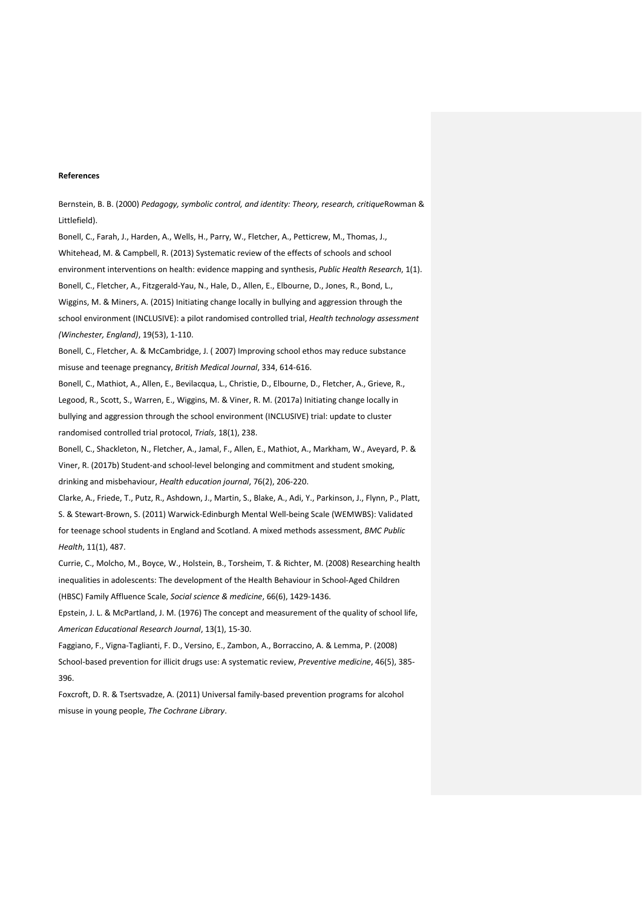## **References**

Bernstein, B. B. (2000) *Pedagogy, symbolic control, and identity: Theory, research, critique*Rowman & Littlefield).

Bonell, C., Farah, J., Harden, A., Wells, H., Parry, W., Fletcher, A., Petticrew, M., Thomas, J., Whitehead, M. & Campbell, R. (2013) Systematic review of the effects of schools and school environment interventions on health: evidence mapping and synthesis, *Public Health Research*, 1(1). Bonell, C., Fletcher, A., Fitzgerald-Yau, N., Hale, D., Allen, E., Elbourne, D., Jones, R., Bond, L., Wiggins, M. & Miners, A. (2015) Initiating change locally in bullying and aggression through the school environment (INCLUSIVE): a pilot randomised controlled trial, *Health technology assessment (Winchester, England)*, 19(53), 1-110.

Bonell, C., Fletcher, A. & McCambridge, J. ( 2007) Improving school ethos may reduce substance misuse and teenage pregnancy, *British Medical Journal*, 334, 614-616.

Bonell, C., Mathiot, A., Allen, E., Bevilacqua, L., Christie, D., Elbourne, D., Fletcher, A., Grieve, R., Legood, R., Scott, S., Warren, E., Wiggins, M. & Viner, R. M. (2017a) Initiating change locally in bullying and aggression through the school environment (INCLUSIVE) trial: update to cluster randomised controlled trial protocol, *Trials*, 18(1), 238.

Bonell, C., Shackleton, N., Fletcher, A., Jamal, F., Allen, E., Mathiot, A., Markham, W., Aveyard, P. & Viner, R. (2017b) Student-and school-level belonging and commitment and student smoking, drinking and misbehaviour, *Health education journal*, 76(2), 206-220.

Clarke, A., Friede, T., Putz, R., Ashdown, J., Martin, S., Blake, A., Adi, Y., Parkinson, J., Flynn, P., Platt, S. & Stewart-Brown, S. (2011) Warwick-Edinburgh Mental Well-being Scale (WEMWBS): Validated for teenage school students in England and Scotland. A mixed methods assessment, *BMC Public Health*, 11(1), 487.

Currie, C., Molcho, M., Boyce, W., Holstein, B., Torsheim, T. & Richter, M. (2008) Researching health inequalities in adolescents: The development of the Health Behaviour in School-Aged Children (HBSC) Family Affluence Scale, *Social science & medicine*, 66(6), 1429-1436.

Epstein, J. L. & McPartland, J. M. (1976) The concept and measurement of the quality of school life, *American Educational Research Journal*, 13(1), 15-30.

Faggiano, F., Vigna-Taglianti, F. D., Versino, E., Zambon, A., Borraccino, A. & Lemma, P. (2008) School-based prevention for illicit drugs use: A systematic review, *Preventive medicine*, 46(5), 385- 396.

Foxcroft, D. R. & Tsertsvadze, A. (2011) Universal family‐based prevention programs for alcohol misuse in young people, *The Cochrane Library*.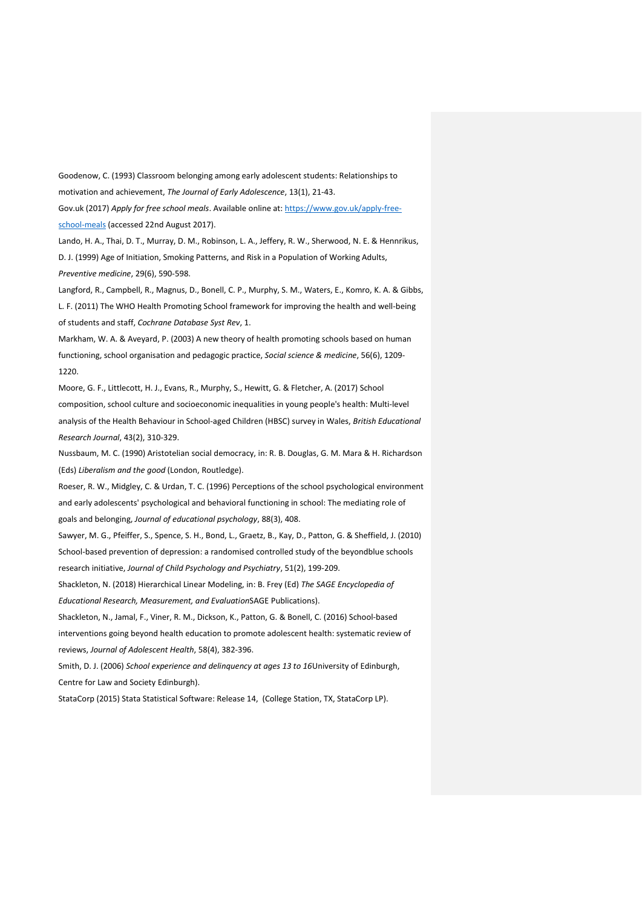Goodenow, C. (1993) Classroom belonging among early adolescent students: Relationships to motivation and achievement, *The Journal of Early Adolescence*, 13(1), 21-43.

Gov.uk (2017) *Apply for free school meals*. Available online at: [https://www.gov.uk/apply-free](https://www.gov.uk/apply-free-school-meals)[school-meals](https://www.gov.uk/apply-free-school-meals) (accessed 22nd August 2017).

Lando, H. A., Thai, D. T., Murray, D. M., Robinson, L. A., Jeffery, R. W., Sherwood, N. E. & Hennrikus, D. J. (1999) Age of Initiation, Smoking Patterns, and Risk in a Population of Working Adults, *Preventive medicine*, 29(6), 590-598.

Langford, R., Campbell, R., Magnus, D., Bonell, C. P., Murphy, S. M., Waters, E., Komro, K. A. & Gibbs, L. F. (2011) The WHO Health Promoting School framework for improving the health and well-being of students and staff, *Cochrane Database Syst Rev*, 1.

Markham, W. A. & Aveyard, P. (2003) A new theory of health promoting schools based on human functioning, school organisation and pedagogic practice, *Social science & medicine*, 56(6), 1209- 1220.

Moore, G. F., Littlecott, H. J., Evans, R., Murphy, S., Hewitt, G. & Fletcher, A. (2017) School composition, school culture and socioeconomic inequalities in young people's health: Multi‐level analysis of the Health Behaviour in School‐aged Children (HBSC) survey in Wales, *British Educational Research Journal*, 43(2), 310-329.

Nussbaum, M. C. (1990) Aristotelian social democracy, in: R. B. Douglas, G. M. Mara & H. Richardson (Eds) *Liberalism and the good* (London, Routledge).

Roeser, R. W., Midgley, C. & Urdan, T. C. (1996) Perceptions of the school psychological environment and early adolescents' psychological and behavioral functioning in school: The mediating role of goals and belonging, *Journal of educational psychology*, 88(3), 408.

Sawyer, M. G., Pfeiffer, S., Spence, S. H., Bond, L., Graetz, B., Kay, D., Patton, G. & Sheffield, J. (2010) School‐based prevention of depression: a randomised controlled study of the beyondblue schools research initiative, *Journal of Child Psychology and Psychiatry*, 51(2), 199-209.

Shackleton, N. (2018) Hierarchical Linear Modeling, in: B. Frey (Ed) *The SAGE Encyclopedia of Educational Research, Measurement, and Evaluation*SAGE Publications).

Shackleton, N., Jamal, F., Viner, R. M., Dickson, K., Patton, G. & Bonell, C. (2016) School-based interventions going beyond health education to promote adolescent health: systematic review of reviews, *Journal of Adolescent Health*, 58(4), 382-396.

Smith, D. J. (2006) *School experience and delinquency at ages 13 to 16*University of Edinburgh, Centre for Law and Society Edinburgh).

StataCorp (2015) Stata Statistical Software: Release 14, (College Station, TX, StataCorp LP).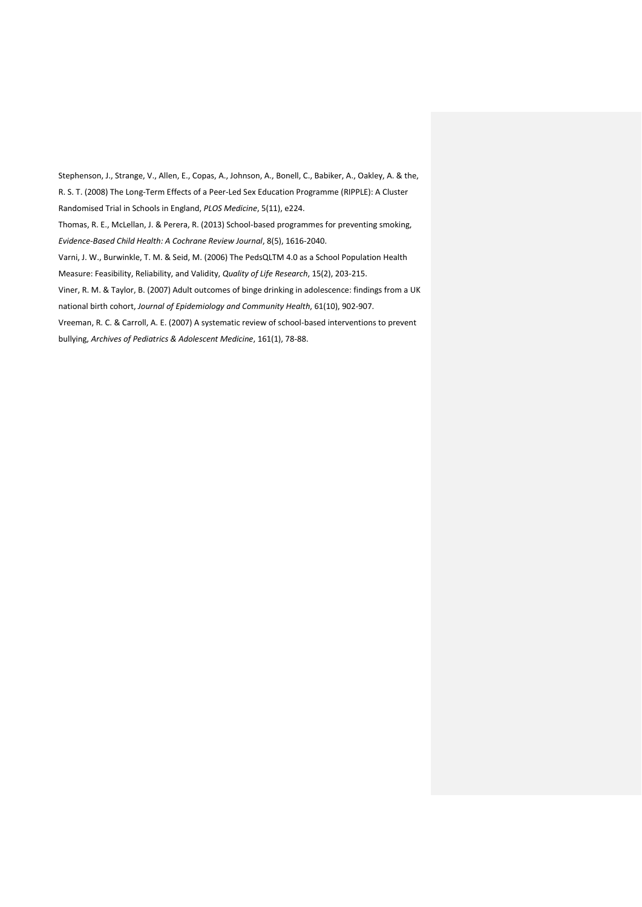Stephenson, J., Strange, V., Allen, E., Copas, A., Johnson, A., Bonell, C., Babiker, A., Oakley, A. & the, R. S. T. (2008) The Long-Term Effects of a Peer-Led Sex Education Programme (RIPPLE): A Cluster Randomised Trial in Schools in England, *PLOS Medicine*, 5(11), e224. Thomas, R. E., McLellan, J. & Perera, R. (2013) School‐based programmes for preventing smoking, *Evidence‐Based Child Health: A Cochrane Review Journal*, 8(5), 1616-2040. Varni, J. W., Burwinkle, T. M. & Seid, M. (2006) The PedsQLTM 4.0 as a School Population Health Measure: Feasibility, Reliability, and Validity, *Quality of Life Research*, 15(2), 203-215. Viner, R. M. & Taylor, B. (2007) Adult outcomes of binge drinking in adolescence: findings from a UK national birth cohort, *Journal of Epidemiology and Community Health*, 61(10), 902-907. Vreeman, R. C. & Carroll, A. E. (2007) A systematic review of school-based interventions to prevent bullying, *Archives of Pediatrics & Adolescent Medicine*, 161(1), 78-88.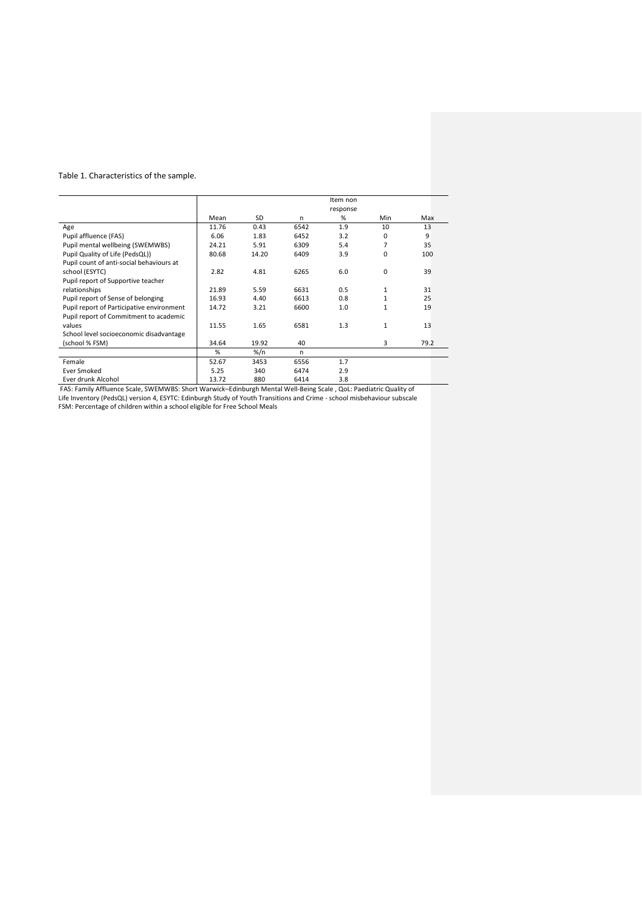# Table 1. Characteristics of the sample.

|                                           |       |       |      | Item non |             |      |
|-------------------------------------------|-------|-------|------|----------|-------------|------|
|                                           |       |       |      | response |             |      |
|                                           | Mean  | SD    | n    | %        | Min         | Max  |
| Age                                       | 11.76 | 0.43  | 6542 | 1.9      | 10          | 13   |
| Pupil affluence (FAS)                     | 6.06  | 1.83  | 6452 | 3.2      | 0           | 9    |
| Pupil mental wellbeing (SWEMWBS)          | 24.21 | 5.91  | 6309 | 5.4      | 7           | 35   |
| Pupil Quality of Life (PedsQL))           | 80.68 | 14.20 | 6409 | 3.9      | 0           | 100  |
| Pupil count of anti-social behaviours at  |       |       |      |          |             |      |
| school (ESYTC)                            | 2.82  | 4.81  | 6265 | 6.0      | $\mathbf 0$ | 39   |
| Pupil report of Supportive teacher        |       |       |      |          |             |      |
| relationships                             | 21.89 | 5.59  | 6631 | 0.5      | 1           | 31   |
| Pupil report of Sense of belonging        | 16.93 | 4.40  | 6613 | 0.8      | 1           | 25   |
| Pupil report of Participative environment | 14.72 | 3.21  | 6600 | 1.0      | 1           | 19   |
| Pupil report of Commitment to academic    |       |       |      |          |             |      |
| values                                    | 11.55 | 1.65  | 6581 | 1.3      | 1           | 13   |
| School level socioeconomic disadvantage   |       |       |      |          |             |      |
| (school % FSM)                            | 34.64 | 19.92 | 40   |          | 3           | 79.2 |
|                                           | %     | %/n   | n    |          |             |      |
| Female                                    | 52.67 | 3453  | 6556 | 1.7      |             |      |
| <b>Ever Smoked</b>                        | 5.25  | 340   | 6474 | 2.9      |             |      |
| Ever drunk Alcohol                        | 13.72 | 880   | 6414 | 3.8      |             |      |

FAS: Family Affluence Scale, SWEMWBS: Short Warwick–Edinburgh Mental Well-Being Scale , QoL: Paediatric Quality of

Life Inventory (PedsQL) version 4, ESYTC: Edinburgh Study of Youth Transitions and Crime - school misbehaviour subscale FSM: Percentage of children within a school eligible for Free School Meals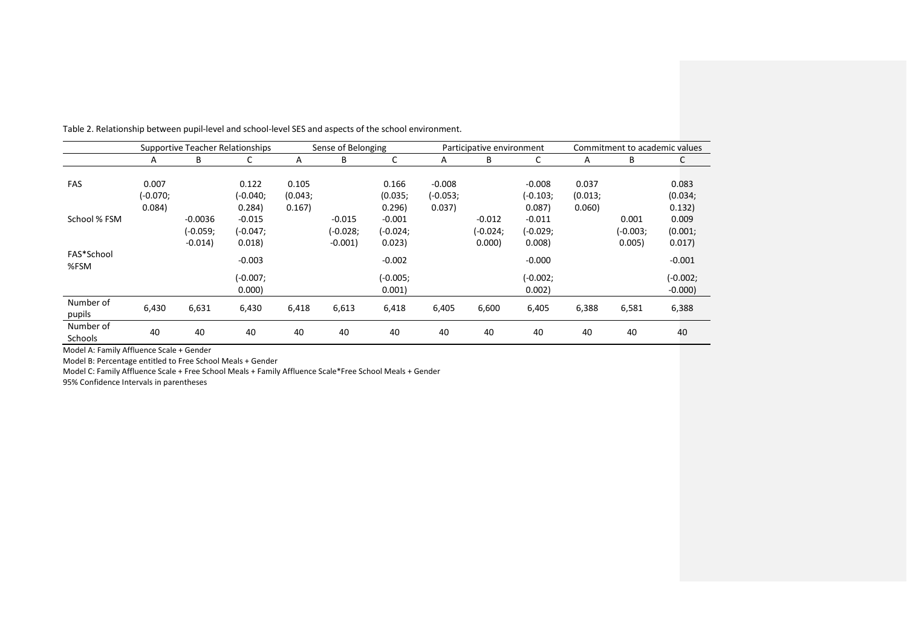|                      |            |            | <b>Supportive Teacher Relationships</b> | Sense of Belonging |            |            |            | Participative environment |            | Commitment to academic values |            |            |  |
|----------------------|------------|------------|-----------------------------------------|--------------------|------------|------------|------------|---------------------------|------------|-------------------------------|------------|------------|--|
|                      | A          | B          |                                         | A                  | B          | C          | A          | B                         | J          | A                             | B          | C          |  |
|                      |            |            |                                         |                    |            |            |            |                           |            |                               |            |            |  |
| FAS                  | 0.007      |            | 0.122                                   | 0.105              |            | 0.166      | $-0.008$   |                           | $-0.008$   | 0.037                         |            | 0.083      |  |
|                      | $(-0.070;$ |            | (-0.040;                                | (0.043;            |            | (0.035;    | $(-0.053)$ |                           | $(-0.103)$ | (0.013;                       |            | (0.034;    |  |
|                      | 0.084)     |            | 0.284)                                  | 0.167)             |            | 0.296)     | 0.037)     |                           | 0.087      | 0.060                         |            | 0.132)     |  |
| School % FSM         |            | $-0.0036$  | $-0.015$                                |                    | $-0.015$   | $-0.001$   |            | $-0.012$                  | $-0.011$   |                               | 0.001      | 0.009      |  |
|                      |            | $(-0.059;$ | $(-0.047)$                              |                    | $(-0.028)$ | $(-0.024)$ |            | $(-0.024)$                | $(-0.029;$ |                               | $(-0.003)$ | (0.001;    |  |
|                      |            | $-0.014$   | 0.018                                   |                    | $-0.001$   | 0.023)     |            | 0.000                     | 0.008      |                               | 0.005      | 0.017)     |  |
| FAS*School<br>%FSM   |            |            | $-0.003$                                |                    |            | $-0.002$   |            |                           | $-0.000$   |                               |            | $-0.001$   |  |
|                      |            |            | (-0.007;                                |                    |            | $(-0.005)$ |            |                           | $(-0.002;$ |                               |            | $(-0.002;$ |  |
|                      |            |            | 0.000                                   |                    |            | 0.001      |            |                           | 0.002)     |                               |            | $-0.000$   |  |
| Number of<br>pupils  | 6,430      | 6,631      | 6,430                                   | 6,418              | 6,613      | 6,418      | 6,405      | 6,600                     | 6,405      | 6,388                         | 6,581      | 6,388      |  |
| Number of<br>Schools | 40         | 40         | 40                                      | 40                 | 40         | 40         | 40         | 40                        | 40         | 40                            | 40         | 40         |  |

Table 2. Relationship between pupil-level and school-level SES and aspects of the school environment.

Model A: Family Affluence Scale + Gender

Model B: Percentage entitled to Free School Meals + Gender

Model C: Family Affluence Scale + Free School Meals + Family Affluence Scale\*Free School Meals + Gender

95% Confidence Intervals in parentheses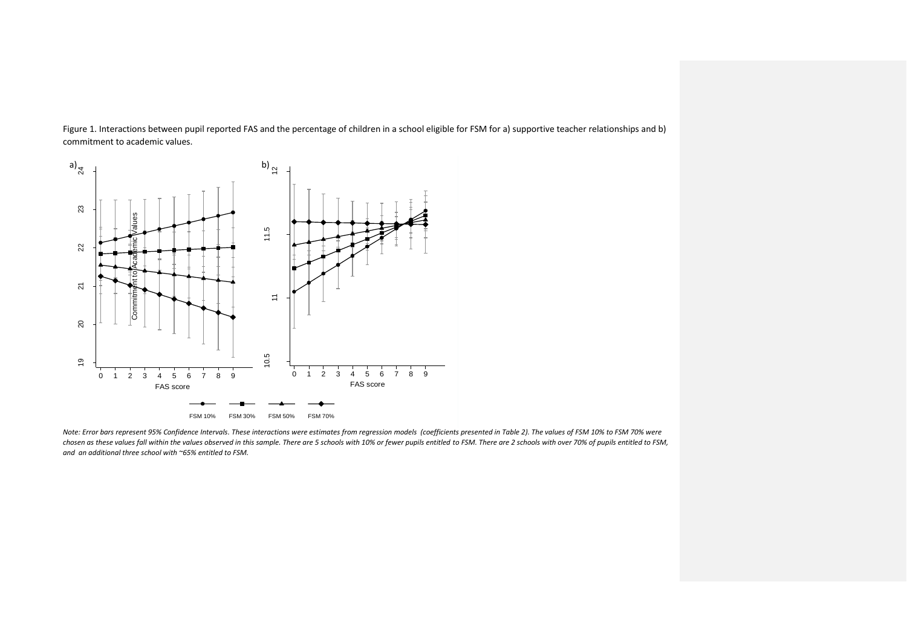Figure 1. Interactions between pupil reported FAS and the percentage of children in a school eligible for FSM for a) supportive teacher relationships and b) commitment to academic values.



*Note: Error bars represent 95% Confidence Intervals. These interactions were estimates from regression models (coefficients presented in Table 2). The values of FSM 10% to FSM 70% were chosen as these values fall within the values observed in this sample. There are 5 schools with 10% or fewer pupils entitled to FSM. There are 2 schools with over 70% of pupils entitled to FSM, and an additional three school with ~65% entitled to FSM.*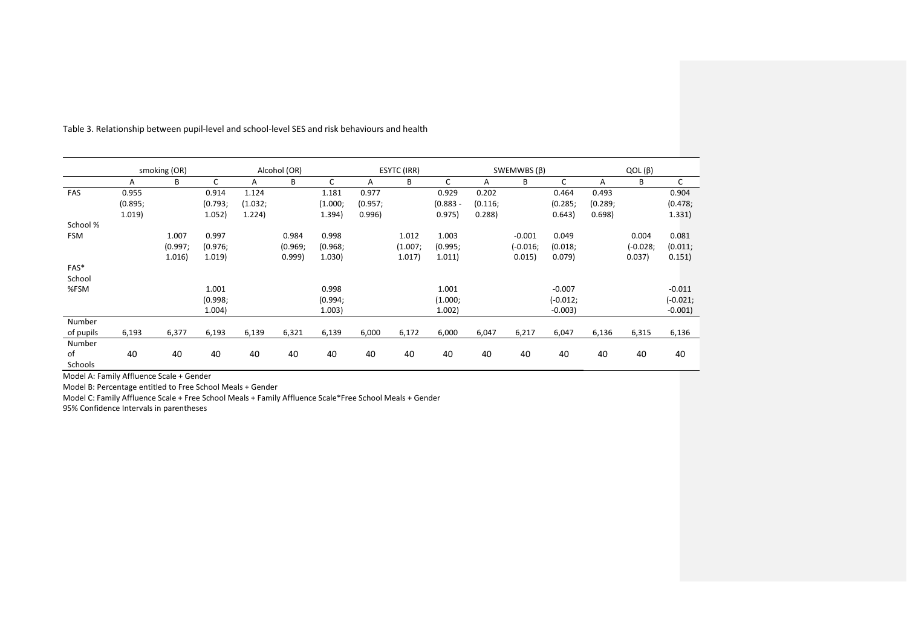|            | smoking (OR) |         |         | Alcohol (OR) |         |         | ESYTC (IRR) |         |            | SWEMWBS $(\beta)$ |          |            | $QOL(\beta)$ |          |            |
|------------|--------------|---------|---------|--------------|---------|---------|-------------|---------|------------|-------------------|----------|------------|--------------|----------|------------|
|            | A            | B       | C       | Α            | B       | C       | A           | B       | C          | A                 | B        | C          | A            | В        | C          |
| FAS        | 0.955        |         | 0.914   | 1.124        |         | 1.181   | 0.977       |         | 0.929      | 0.202             |          | 0.464      | 0.493        |          | 0.904      |
|            | (0.895;      |         | (0.793) | (1.032)      |         | (1.000) | (0.957;     |         | $(0.883 -$ | (0.116)           |          | (0.285;    | (0.289;      |          | (0.478;    |
|            | 1.019        |         | 1.052)  | 1.224)       |         | 1.394)  | 0.996)      |         | 0.975)     | 0.288             |          | 0.643)     | 0.698)       |          | 1.331)     |
| School %   |              |         |         |              |         |         |             |         |            |                   |          |            |              |          |            |
| <b>FSM</b> |              | 1.007   | 0.997   |              | 0.984   | 0.998   |             | 1.012   | 1.003      |                   | $-0.001$ | 0.049      |              | 0.004    | 0.081      |
|            |              | (0.997; | (0.976; |              | (0.969; | (0.968; |             | (1.007) | (0.995;    |                   | (-0.016; | (0.018)    |              | (-0.028; | (0.011;    |
|            |              | 1.016)  | 1.019   |              | 0.999   | 1.030)  |             | 1.017)  | 1.011)     |                   | 0.015)   | 0.079)     |              | 0.037)   | 0.151)     |
| FAS*       |              |         |         |              |         |         |             |         |            |                   |          |            |              |          |            |
| School     |              |         |         |              |         |         |             |         |            |                   |          |            |              |          |            |
| %FSM       |              |         | 1.001   |              |         | 0.998   |             |         | 1.001      |                   |          | $-0.007$   |              |          | $-0.011$   |
|            |              |         | (0.998; |              |         | (0.994; |             |         | (1.000)    |                   |          | $(-0.012;$ |              |          | $(-0.021;$ |
|            |              |         | 1.004)  |              |         | 1.003)  |             |         | 1.002)     |                   |          | $-0.003$   |              |          | $-0.001$ ) |
| Number     |              |         |         |              |         |         |             |         |            |                   |          |            |              |          |            |
| of pupils  | 6,193        | 6,377   | 6,193   | 6,139        | 6,321   | 6,139   | 6,000       | 6,172   | 6,000      | 6,047             | 6,217    | 6,047      | 6,136        | 6,315    | 6,136      |
| Number     |              |         |         |              |         |         |             |         |            |                   |          |            |              |          |            |
| of         | 40           | 40      | 40      | 40           | 40      | 40      | 40          | 40      | 40         | 40                | 40       | 40         | 40           | 40       | 40         |
| Schools    |              |         |         |              |         |         |             |         |            |                   |          |            |              |          |            |

Table 3. Relationship between pupil-level and school-level SES and risk behaviours and health

Model A: Family Affluence Scale + Gender

Model B: Percentage entitled to Free School Meals + Gender

Model C: Family Affluence Scale + Free School Meals + Family Affluence Scale\*Free School Meals + Gender

95% Confidence Intervals in parentheses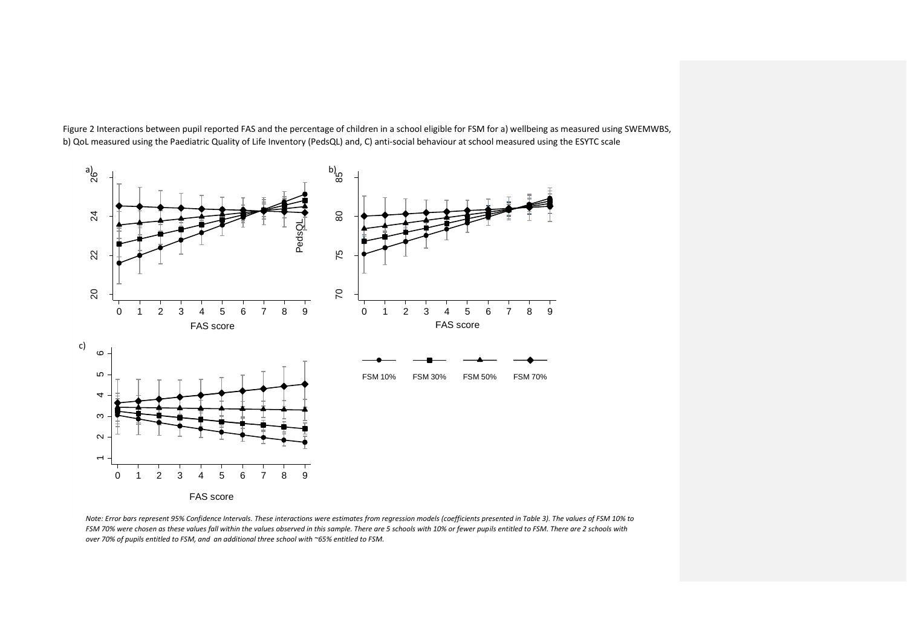

Figure 2 Interactions between pupil reported FAS and the percentage of children in a school eligible for FSM for a) wellbeing as measured using SWEMWBS, b) QoL measured using the Paediatric Quality of Life Inventory (PedsQL) and, C) anti-social behaviour at school measured using the ESYTC scale

*Note: Error bars represent 95% Confidence Intervals. These interactions were estimates from regression models (coefficients presented in Table 3). The values of FSM 10% to*  FSM 70% were chosen as these values fall within the values observed in this sample. There are 5 schools with 10% or fewer pupils entitled to FSM. There are 2 schools with *over 70% of pupils entitled to FSM, and an additional three school with ~65% entitled to FSM.*